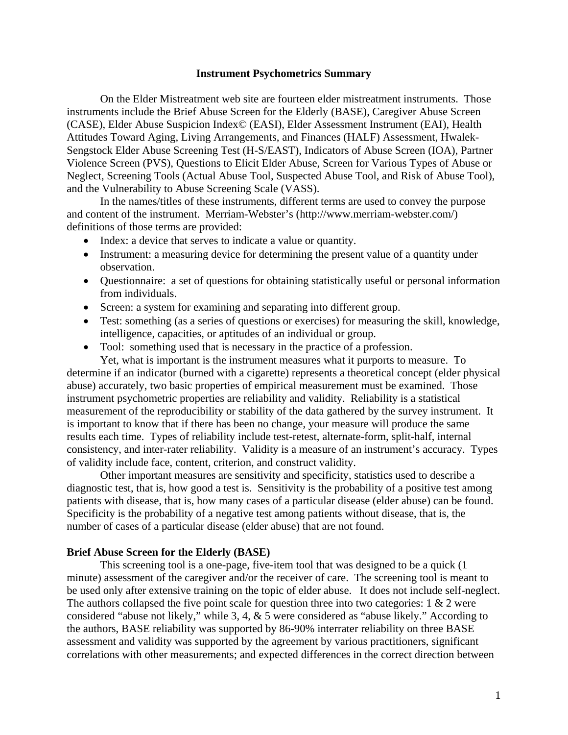#### **Instrument Psychometrics Summary**

 On the Elder Mistreatment web site are fourteen elder mistreatment instruments. Those instruments include the Brief Abuse Screen for the Elderly (BASE), Caregiver Abuse Screen (CASE), Elder Abuse Suspicion Index© (EASI), Elder Assessment Instrument (EAI), Health Attitudes Toward Aging, Living Arrangements, and Finances (HALF) Assessment, Hwalek-Sengstock Elder Abuse Screening Test (H-S/EAST), Indicators of Abuse Screen (IOA), Partner Violence Screen (PVS), Questions to Elicit Elder Abuse, Screen for Various Types of Abuse or Neglect, Screening Tools (Actual Abuse Tool, Suspected Abuse Tool, and Risk of Abuse Tool), and the Vulnerability to Abuse Screening Scale (VASS).

 In the names/titles of these instruments, different terms are used to convey the purpose and content of the instrument. Merriam-Webster's (http://www.merriam-webster.com/) definitions of those terms are provided:

- Index: a device that serves to indicate a value or quantity.
- Instrument: a measuring device for determining the present value of a quantity under observation.
- Questionnaire: a set of questions for obtaining statistically useful or personal information from individuals.
- Screen: a system for examining and separating into different group.
- Test: something (as a series of questions or exercises) for measuring the skill, knowledge, intelligence, capacities, or aptitudes of an individual or group.
- Tool: something used that is necessary in the practice of a profession.

 Yet, what is important is the instrument measures what it purports to measure. To determine if an indicator (burned with a cigarette) represents a theoretical concept (elder physical abuse) accurately, two basic properties of empirical measurement must be examined. Those instrument psychometric properties are reliability and validity. Reliability is a statistical measurement of the reproducibility or stability of the data gathered by the survey instrument. It is important to know that if there has been no change, your measure will produce the same results each time. Types of reliability include test-retest, alternate-form, split-half, internal consistency, and inter-rater reliability. Validity is a measure of an instrument's accuracy. Types of validity include face, content, criterion, and construct validity.

 Other important measures are sensitivity and specificity, statistics used to describe a diagnostic test, that is, how good a test is. Sensitivity is the probability of a positive test among patients with disease, that is, how many cases of a particular disease (elder abuse) can be found. Specificity is the probability of a negative test among patients without disease, that is, the number of cases of a particular disease (elder abuse) that are not found.

### **Brief Abuse Screen for the Elderly (BASE)**

 This screening tool is a one-page, five-item tool that was designed to be a quick (1 minute) assessment of the caregiver and/or the receiver of care. The screening tool is meant to be used only after extensive training on the topic of elder abuse. It does not include self-neglect. The authors collapsed the five point scale for question three into two categories:  $1 \& 2$  were considered "abuse not likely," while 3, 4, & 5 were considered as "abuse likely." According to the authors, BASE reliability was supported by 86-90% interrater reliability on three BASE assessment and validity was supported by the agreement by various practitioners, significant correlations with other measurements; and expected differences in the correct direction between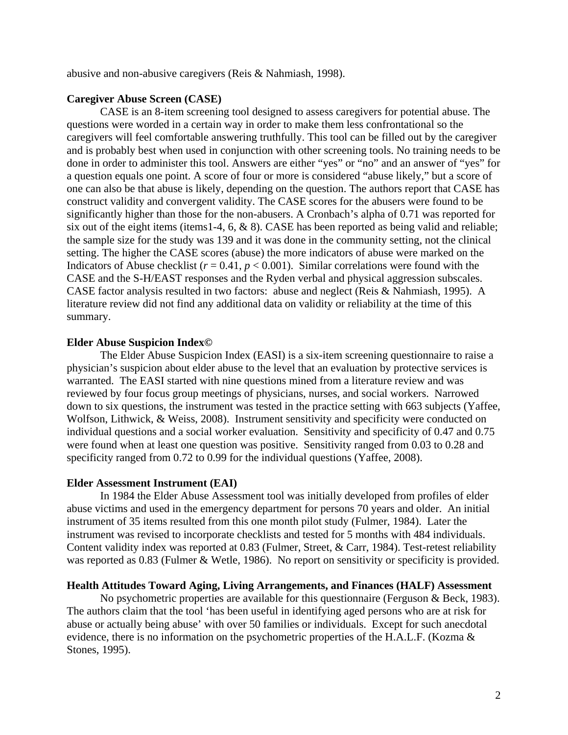abusive and non-abusive caregivers (Reis & Nahmiash, 1998).

### **Caregiver Abuse Screen (CASE)**

CASE is an 8-item screening tool designed to assess caregivers for potential abuse. The questions were worded in a certain way in order to make them less confrontational so the caregivers will feel comfortable answering truthfully. This tool can be filled out by the caregiver and is probably best when used in conjunction with other screening tools. No training needs to be done in order to administer this tool. Answers are either "yes" or "no" and an answer of "yes" for a question equals one point. A score of four or more is considered "abuse likely," but a score of one can also be that abuse is likely, depending on the question. The authors report that CASE has construct validity and convergent validity. The CASE scores for the abusers were found to be significantly higher than those for the non-abusers. A Cronbach's alpha of 0.71 was reported for six out of the eight items (items1-4, 6, & 8). CASE has been reported as being valid and reliable; the sample size for the study was 139 and it was done in the community setting, not the clinical setting. The higher the CASE scores (abuse) the more indicators of abuse were marked on the Indicators of Abuse checklist ( $r = 0.41$ ,  $p < 0.001$ ). Similar correlations were found with the CASE and the S-H/EAST responses and the Ryden verbal and physical aggression subscales. CASE factor analysis resulted in two factors: abuse and neglect (Reis & Nahmiash, 1995). A literature review did not find any additional data on validity or reliability at the time of this summary.

### **Elder Abuse Suspicion Index©**

 The Elder Abuse Suspicion Index (EASI) is a six-item screening questionnaire to raise a physician's suspicion about elder abuse to the level that an evaluation by protective services is warranted. The EASI started with nine questions mined from a literature review and was reviewed by four focus group meetings of physicians, nurses, and social workers. Narrowed down to six questions, the instrument was tested in the practice setting with 663 subjects (Yaffee, Wolfson, Lithwick, & Weiss, 2008). Instrument sensitivity and specificity were conducted on individual questions and a social worker evaluation. Sensitivity and specificity of 0.47 and 0.75 were found when at least one question was positive. Sensitivity ranged from 0.03 to 0.28 and specificity ranged from 0.72 to 0.99 for the individual questions (Yaffee, 2008).

### **Elder Assessment Instrument (EAI)**

 In 1984 the Elder Abuse Assessment tool was initially developed from profiles of elder abuse victims and used in the emergency department for persons 70 years and older. An initial instrument of 35 items resulted from this one month pilot study (Fulmer, 1984). Later the instrument was revised to incorporate checklists and tested for 5 months with 484 individuals. Content validity index was reported at 0.83 (Fulmer, Street, & Carr, 1984). Test-retest reliability was reported as 0.83 (Fulmer & Wetle, 1986). No report on sensitivity or specificity is provided.

#### **Health Attitudes Toward Aging, Living Arrangements, and Finances (HALF) Assessment**

No psychometric properties are available for this questionnaire (Ferguson & Beck, 1983). The authors claim that the tool 'has been useful in identifying aged persons who are at risk for abuse or actually being abuse' with over 50 families or individuals. Except for such anecdotal evidence, there is no information on the psychometric properties of the H.A.L.F. (Kozma & Stones, 1995).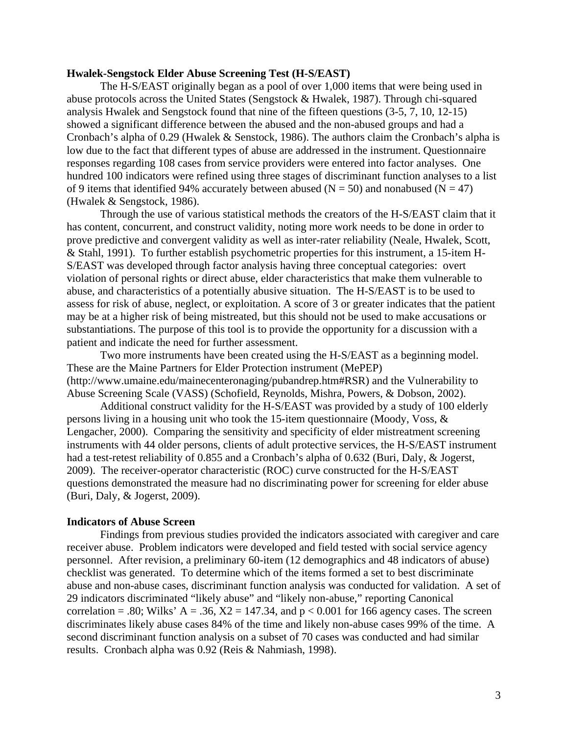#### **Hwalek-Sengstock Elder Abuse Screening Test (H-S/EAST)**

 The H-S/EAST originally began as a pool of over 1,000 items that were being used in abuse protocols across the United States (Sengstock & Hwalek, 1987). Through chi-squared analysis Hwalek and Sengstock found that nine of the fifteen questions (3-5, 7, 10, 12-15) showed a significant difference between the abused and the non-abused groups and had a Cronbach's alpha of 0.29 (Hwalek & Senstock, 1986). The authors claim the Cronbach's alpha is low due to the fact that different types of abuse are addressed in the instrument. Questionnaire responses regarding 108 cases from service providers were entered into factor analyses. One hundred 100 indicators were refined using three stages of discriminant function analyses to a list of 9 items that identified 94% accurately between abused ( $N = 50$ ) and nonabused ( $N = 47$ ) (Hwalek & Sengstock, 1986).

 Through the use of various statistical methods the creators of the H-S/EAST claim that it has content, concurrent, and construct validity, noting more work needs to be done in order to prove predictive and convergent validity as well as inter-rater reliability (Neale, Hwalek, Scott, & Stahl, 1991). To further establish psychometric properties for this instrument, a 15-item H-S/EAST was developed through factor analysis having three conceptual categories: overt violation of personal rights or direct abuse, elder characteristics that make them vulnerable to abuse, and characteristics of a potentially abusive situation. The H-S/EAST is to be used to assess for risk of abuse, neglect, or exploitation. A score of 3 or greater indicates that the patient may be at a higher risk of being mistreated, but this should not be used to make accusations or substantiations. The purpose of this tool is to provide the opportunity for a discussion with a patient and indicate the need for further assessment.

 Two more instruments have been created using the H-S/EAST as a beginning model. These are the Maine Partners for Elder Protection instrument (MePEP) (http://www.umaine.edu/mainecenteronaging/pubandrep.htm#RSR) and the Vulnerability to Abuse Screening Scale (VASS) (Schofield, Reynolds, Mishra, Powers, & Dobson, 2002).

 Additional construct validity for the H-S/EAST was provided by a study of 100 elderly persons living in a housing unit who took the 15-item questionnaire (Moody, Voss, & Lengacher, 2000). Comparing the sensitivity and specificity of elder mistreatment screening instruments with 44 older persons, clients of adult protective services, the H-S/EAST instrument had a test-retest reliability of 0.855 and a Cronbach's alpha of 0.632 (Buri, Daly, & Jogerst, 2009). The receiver-operator characteristic (ROC) curve constructed for the H-S/EAST questions demonstrated the measure had no discriminating power for screening for elder abuse (Buri, Daly, & Jogerst, 2009).

#### **Indicators of Abuse Screen**

 Findings from previous studies provided the indicators associated with caregiver and care receiver abuse. Problem indicators were developed and field tested with social service agency personnel. After revision, a preliminary 60-item (12 demographics and 48 indicators of abuse) checklist was generated. To determine which of the items formed a set to best discriminate abuse and non-abuse cases, discriminant function analysis was conducted for validation. A set of 29 indicators discriminated "likely abuse" and "likely non-abuse," reporting Canonical correlation = .80; Wilks'  $A = .36$ ,  $X2 = 147.34$ , and  $p < 0.001$  for 166 agency cases. The screen discriminates likely abuse cases 84% of the time and likely non-abuse cases 99% of the time. A second discriminant function analysis on a subset of 70 cases was conducted and had similar results. Cronbach alpha was 0.92 (Reis & Nahmiash, 1998).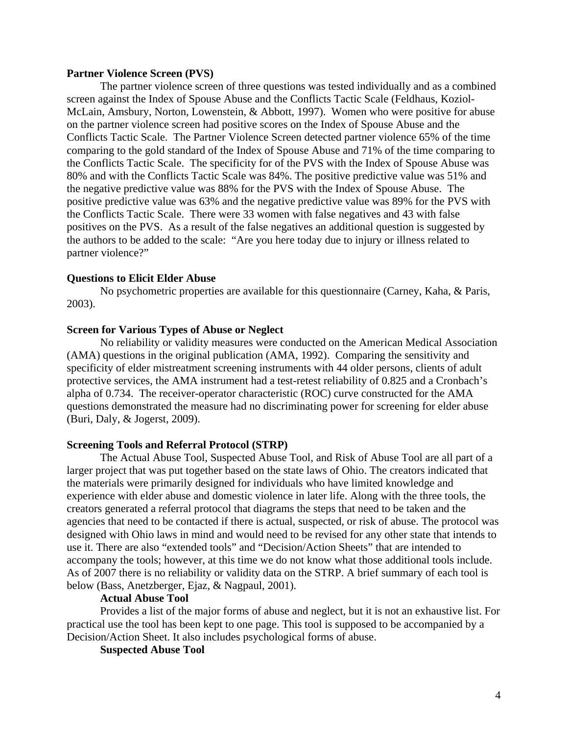#### **Partner Violence Screen (PVS)**

 The partner violence screen of three questions was tested individually and as a combined screen against the Index of Spouse Abuse and the Conflicts Tactic Scale (Feldhaus, Koziol-McLain, Amsbury, Norton, Lowenstein, & Abbott, 1997). Women who were positive for abuse on the partner violence screen had positive scores on the Index of Spouse Abuse and the Conflicts Tactic Scale. The Partner Violence Screen detected partner violence 65% of the time comparing to the gold standard of the Index of Spouse Abuse and 71% of the time comparing to the Conflicts Tactic Scale. The specificity for of the PVS with the Index of Spouse Abuse was 80% and with the Conflicts Tactic Scale was 84%. The positive predictive value was 51% and the negative predictive value was 88% for the PVS with the Index of Spouse Abuse. The positive predictive value was 63% and the negative predictive value was 89% for the PVS with the Conflicts Tactic Scale. There were 33 women with false negatives and 43 with false positives on the PVS. As a result of the false negatives an additional question is suggested by the authors to be added to the scale: "Are you here today due to injury or illness related to partner violence?"

### **Questions to Elicit Elder Abuse**

No psychometric properties are available for this questionnaire (Carney, Kaha, & Paris, 2003).

### **Screen for Various Types of Abuse or Neglect**

 No reliability or validity measures were conducted on the American Medical Association (AMA) questions in the original publication (AMA, 1992). Comparing the sensitivity and specificity of elder mistreatment screening instruments with 44 older persons, clients of adult protective services, the AMA instrument had a test-retest reliability of 0.825 and a Cronbach's alpha of 0.734. The receiver-operator characteristic (ROC) curve constructed for the AMA questions demonstrated the measure had no discriminating power for screening for elder abuse (Buri, Daly, & Jogerst, 2009).

#### **Screening Tools and Referral Protocol (STRP)**

 The Actual Abuse Tool, Suspected Abuse Tool, and Risk of Abuse Tool are all part of a larger project that was put together based on the state laws of Ohio. The creators indicated that the materials were primarily designed for individuals who have limited knowledge and experience with elder abuse and domestic violence in later life. Along with the three tools, the creators generated a referral protocol that diagrams the steps that need to be taken and the agencies that need to be contacted if there is actual, suspected, or risk of abuse. The protocol was designed with Ohio laws in mind and would need to be revised for any other state that intends to use it. There are also "extended tools" and "Decision/Action Sheets" that are intended to accompany the tools; however, at this time we do not know what those additional tools include. As of 2007 there is no reliability or validity data on the STRP. A brief summary of each tool is below (Bass, Anetzberger, Ejaz, & Nagpaul, 2001).

## **Actual Abuse Tool**

Provides a list of the major forms of abuse and neglect, but it is not an exhaustive list. For practical use the tool has been kept to one page. This tool is supposed to be accompanied by a Decision/Action Sheet. It also includes psychological forms of abuse.

 **Suspected Abuse Tool**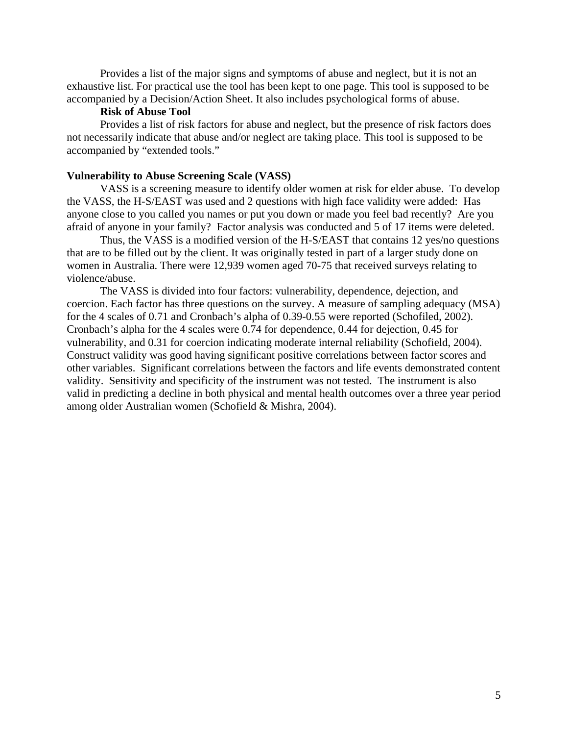Provides a list of the major signs and symptoms of abuse and neglect, but it is not an exhaustive list. For practical use the tool has been kept to one page. This tool is supposed to be accompanied by a Decision/Action Sheet. It also includes psychological forms of abuse.

### **Risk of Abuse Tool**

 Provides a list of risk factors for abuse and neglect, but the presence of risk factors does not necessarily indicate that abuse and/or neglect are taking place. This tool is supposed to be accompanied by "extended tools."

#### **Vulnerability to Abuse Screening Scale (VASS)**

 VASS is a screening measure to identify older women at risk for elder abuse. To develop the VASS, the H-S/EAST was used and 2 questions with high face validity were added: Has anyone close to you called you names or put you down or made you feel bad recently? Are you afraid of anyone in your family? Factor analysis was conducted and 5 of 17 items were deleted.

 Thus, the VASS is a modified version of the H-S/EAST that contains 12 yes/no questions that are to be filled out by the client. It was originally tested in part of a larger study done on women in Australia. There were 12,939 women aged 70-75 that received surveys relating to violence/abuse.

 The VASS is divided into four factors: vulnerability, dependence, dejection, and coercion. Each factor has three questions on the survey. A measure of sampling adequacy (MSA) for the 4 scales of 0.71 and Cronbach's alpha of 0.39-0.55 were reported (Schofiled, 2002). Cronbach's alpha for the 4 scales were 0.74 for dependence, 0.44 for dejection, 0.45 for vulnerability, and 0.31 for coercion indicating moderate internal reliability (Schofield, 2004). Construct validity was good having significant positive correlations between factor scores and other variables. Significant correlations between the factors and life events demonstrated content validity. Sensitivity and specificity of the instrument was not tested. The instrument is also valid in predicting a decline in both physical and mental health outcomes over a three year period among older Australian women (Schofield & Mishra, 2004).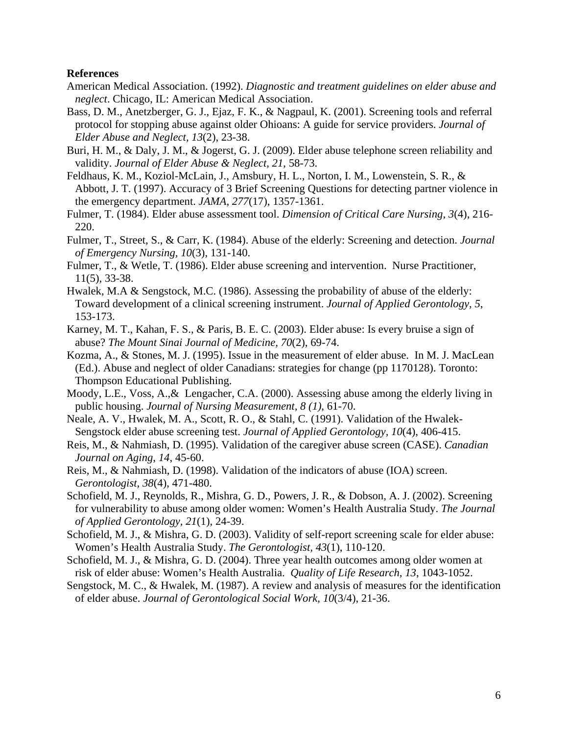### **References**

- American Medical Association. (1992). *Diagnostic and treatment guidelines on elder abuse and neglect*. Chicago, IL: American Medical Association.
- Bass, D. M., Anetzberger, G. J., Ejaz, F. K., & Nagpaul, K. (2001). Screening tools and referral protocol for stopping abuse against older Ohioans: A guide for service providers. *Journal of Elder Abuse and Neglect, 13*(2), 23-38.
- Buri, H. M., & Daly, J. M., & Jogerst, G. J. (2009). Elder abuse telephone screen reliability and validity. *Journal of Elder Abuse & Neglect, 21*, 58-73.
- Feldhaus, K. M., Koziol-McLain, J., Amsbury, H. L., Norton, I. M., Lowenstein, S. R., & Abbott, J. T. (1997). Accuracy of 3 Brief Screening Questions for detecting partner violence in the emergency department. *JAMA, 277*(17), 1357-1361.
- Fulmer, T. (1984). Elder abuse assessment tool. *Dimension of Critical Care Nursing, 3*(4), 216- 220.
- Fulmer, T., Street, S., & Carr, K. (1984). Abuse of the elderly: Screening and detection. *Journal of Emergency Nursing, 10*(3), 131-140.
- Fulmer, T., & Wetle, T. (1986). Elder abuse screening and intervention. Nurse Practitioner, 11(5), 33-38.
- Hwalek, M.A & Sengstock, M.C. (1986). Assessing the probability of abuse of the elderly: Toward development of a clinical screening instrument. *Journal of Applied Gerontology, 5*, 153-173.
- Karney, M. T., Kahan, F. S., & Paris, B. E. C. (2003). Elder abuse: Is every bruise a sign of abuse? *The Mount Sinai Journal of Medicine, 70*(2), 69-74.
- Kozma, A., & Stones, M. J. (1995). Issue in the measurement of elder abuse. In M. J. MacLean (Ed.). Abuse and neglect of older Canadians: strategies for change (pp 1170128). Toronto: Thompson Educational Publishing.
- Moody, L.E., Voss, A.,& Lengacher, C.A. (2000). Assessing abuse among the elderly living in public housing. *Journal of Nursing Measurement, 8 (1)*, 61-70.
- Neale, A. V., Hwalek, M. A., Scott, R. O., & Stahl, C. (1991). Validation of the Hwalek- Sengstock elder abuse screening test. *Journal of Applied Gerontology, 10*(4), 406-415.
- Reis, M., & Nahmiash, D. (1995). Validation of the caregiver abuse screen (CASE). *Canadian Journal on Aging, 14*, 45-60.
- Reis, M., & Nahmiash, D. (1998). Validation of the indicators of abuse (IOA) screen.  *Gerontologist, 38*(4), 471-480.
- Schofield, M. J., Reynolds, R., Mishra, G. D., Powers, J. R., & Dobson, A. J. (2002). Screening for vulnerability to abuse among older women: Women's Health Australia Study. *The Journal of Applied Gerontology, 21*(1), 24-39.
- Schofield, M. J., & Mishra, G. D. (2003). Validity of self-report screening scale for elder abuse: Women's Health Australia Study. *The Gerontologist, 43*(1), 110-120.
- Schofield, M. J., & Mishra, G. D. (2004). Three year health outcomes among older women at risk of elder abuse: Women's Health Australia. *Quality of Life Research, 13*, 1043-1052.
- Sengstock, M. C., & Hwalek, M. (1987). A review and analysis of measures for the identification of elder abuse. *Journal of Gerontological Social Work, 10*(3/4), 21-36.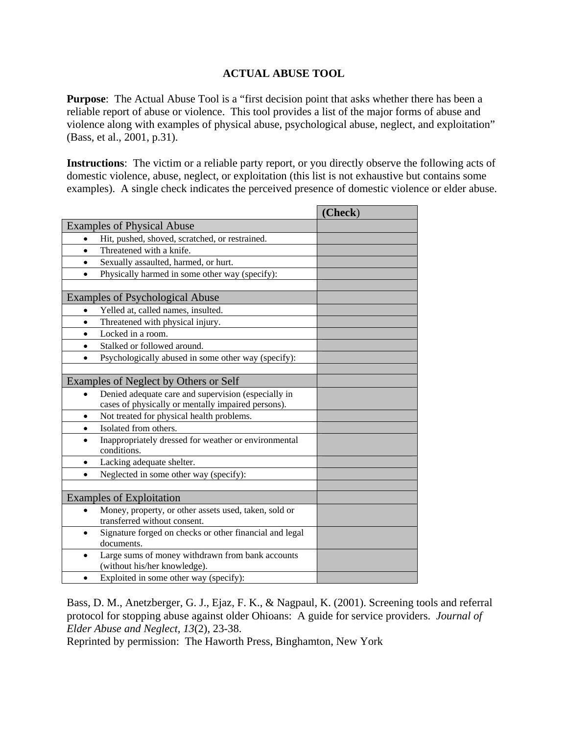# **ACTUAL ABUSE TOOL**

**Purpose:** The Actual Abuse Tool is a "first decision point that asks whether there has been a reliable report of abuse or violence. This tool provides a list of the major forms of abuse and violence along with examples of physical abuse, psychological abuse, neglect, and exploitation" (Bass, et al., 2001, p.31).

**Instructions**: The victim or a reliable party report, or you directly observe the following acts of domestic violence, abuse, neglect, or exploitation (this list is not exhaustive but contains some examples). A single check indicates the perceived presence of domestic violence or elder abuse.

| <b>Examples of Physical Abuse</b><br>Hit, pushed, shoved, scratched, or restrained.<br>$\bullet$<br>Threatened with a knife.<br>$\bullet$<br>Sexually assaulted, harmed, or hurt.<br>$\bullet$<br>Physically harmed in some other way (specify):<br>$\bullet$<br><b>Examples of Psychological Abuse</b><br>Yelled at, called names, insulted.<br>$\bullet$<br>Threatened with physical injury.<br>$\bullet$<br>Locked in a room.<br>$\bullet$<br>Stalked or followed around.<br>$\bullet$<br>Psychologically abused in some other way (specify):<br>$\bullet$<br>Examples of Neglect by Others or Self<br>Denied adequate care and supervision (especially in<br>cases of physically or mentally impaired persons).<br>Not treated for physical health problems.<br>$\bullet$<br>Isolated from others.<br>$\bullet$<br>Inappropriately dressed for weather or environmental<br>$\bullet$<br>conditions.<br>Lacking adequate shelter.<br>$\bullet$<br>Neglected in some other way (specify):<br>$\bullet$<br><b>Examples of Exploitation</b><br>Money, property, or other assets used, taken, sold or<br>transferred without consent.<br>Signature forged on checks or other financial and legal<br>$\bullet$<br>documents.<br>Large sums of money withdrawn from bank accounts<br>$\bullet$<br>(without his/her knowledge).<br>Exploited in some other way (specify):<br>$\bullet$ |  | (Check) |
|------------------------------------------------------------------------------------------------------------------------------------------------------------------------------------------------------------------------------------------------------------------------------------------------------------------------------------------------------------------------------------------------------------------------------------------------------------------------------------------------------------------------------------------------------------------------------------------------------------------------------------------------------------------------------------------------------------------------------------------------------------------------------------------------------------------------------------------------------------------------------------------------------------------------------------------------------------------------------------------------------------------------------------------------------------------------------------------------------------------------------------------------------------------------------------------------------------------------------------------------------------------------------------------------------------------------------------------------------------------------------------|--|---------|
|                                                                                                                                                                                                                                                                                                                                                                                                                                                                                                                                                                                                                                                                                                                                                                                                                                                                                                                                                                                                                                                                                                                                                                                                                                                                                                                                                                                    |  |         |
|                                                                                                                                                                                                                                                                                                                                                                                                                                                                                                                                                                                                                                                                                                                                                                                                                                                                                                                                                                                                                                                                                                                                                                                                                                                                                                                                                                                    |  |         |
|                                                                                                                                                                                                                                                                                                                                                                                                                                                                                                                                                                                                                                                                                                                                                                                                                                                                                                                                                                                                                                                                                                                                                                                                                                                                                                                                                                                    |  |         |
|                                                                                                                                                                                                                                                                                                                                                                                                                                                                                                                                                                                                                                                                                                                                                                                                                                                                                                                                                                                                                                                                                                                                                                                                                                                                                                                                                                                    |  |         |
|                                                                                                                                                                                                                                                                                                                                                                                                                                                                                                                                                                                                                                                                                                                                                                                                                                                                                                                                                                                                                                                                                                                                                                                                                                                                                                                                                                                    |  |         |
|                                                                                                                                                                                                                                                                                                                                                                                                                                                                                                                                                                                                                                                                                                                                                                                                                                                                                                                                                                                                                                                                                                                                                                                                                                                                                                                                                                                    |  |         |
|                                                                                                                                                                                                                                                                                                                                                                                                                                                                                                                                                                                                                                                                                                                                                                                                                                                                                                                                                                                                                                                                                                                                                                                                                                                                                                                                                                                    |  |         |
|                                                                                                                                                                                                                                                                                                                                                                                                                                                                                                                                                                                                                                                                                                                                                                                                                                                                                                                                                                                                                                                                                                                                                                                                                                                                                                                                                                                    |  |         |
|                                                                                                                                                                                                                                                                                                                                                                                                                                                                                                                                                                                                                                                                                                                                                                                                                                                                                                                                                                                                                                                                                                                                                                                                                                                                                                                                                                                    |  |         |
|                                                                                                                                                                                                                                                                                                                                                                                                                                                                                                                                                                                                                                                                                                                                                                                                                                                                                                                                                                                                                                                                                                                                                                                                                                                                                                                                                                                    |  |         |
|                                                                                                                                                                                                                                                                                                                                                                                                                                                                                                                                                                                                                                                                                                                                                                                                                                                                                                                                                                                                                                                                                                                                                                                                                                                                                                                                                                                    |  |         |
|                                                                                                                                                                                                                                                                                                                                                                                                                                                                                                                                                                                                                                                                                                                                                                                                                                                                                                                                                                                                                                                                                                                                                                                                                                                                                                                                                                                    |  |         |
|                                                                                                                                                                                                                                                                                                                                                                                                                                                                                                                                                                                                                                                                                                                                                                                                                                                                                                                                                                                                                                                                                                                                                                                                                                                                                                                                                                                    |  |         |
|                                                                                                                                                                                                                                                                                                                                                                                                                                                                                                                                                                                                                                                                                                                                                                                                                                                                                                                                                                                                                                                                                                                                                                                                                                                                                                                                                                                    |  |         |
|                                                                                                                                                                                                                                                                                                                                                                                                                                                                                                                                                                                                                                                                                                                                                                                                                                                                                                                                                                                                                                                                                                                                                                                                                                                                                                                                                                                    |  |         |
|                                                                                                                                                                                                                                                                                                                                                                                                                                                                                                                                                                                                                                                                                                                                                                                                                                                                                                                                                                                                                                                                                                                                                                                                                                                                                                                                                                                    |  |         |
|                                                                                                                                                                                                                                                                                                                                                                                                                                                                                                                                                                                                                                                                                                                                                                                                                                                                                                                                                                                                                                                                                                                                                                                                                                                                                                                                                                                    |  |         |
|                                                                                                                                                                                                                                                                                                                                                                                                                                                                                                                                                                                                                                                                                                                                                                                                                                                                                                                                                                                                                                                                                                                                                                                                                                                                                                                                                                                    |  |         |
|                                                                                                                                                                                                                                                                                                                                                                                                                                                                                                                                                                                                                                                                                                                                                                                                                                                                                                                                                                                                                                                                                                                                                                                                                                                                                                                                                                                    |  |         |
|                                                                                                                                                                                                                                                                                                                                                                                                                                                                                                                                                                                                                                                                                                                                                                                                                                                                                                                                                                                                                                                                                                                                                                                                                                                                                                                                                                                    |  |         |
|                                                                                                                                                                                                                                                                                                                                                                                                                                                                                                                                                                                                                                                                                                                                                                                                                                                                                                                                                                                                                                                                                                                                                                                                                                                                                                                                                                                    |  |         |
|                                                                                                                                                                                                                                                                                                                                                                                                                                                                                                                                                                                                                                                                                                                                                                                                                                                                                                                                                                                                                                                                                                                                                                                                                                                                                                                                                                                    |  |         |
|                                                                                                                                                                                                                                                                                                                                                                                                                                                                                                                                                                                                                                                                                                                                                                                                                                                                                                                                                                                                                                                                                                                                                                                                                                                                                                                                                                                    |  |         |
|                                                                                                                                                                                                                                                                                                                                                                                                                                                                                                                                                                                                                                                                                                                                                                                                                                                                                                                                                                                                                                                                                                                                                                                                                                                                                                                                                                                    |  |         |
|                                                                                                                                                                                                                                                                                                                                                                                                                                                                                                                                                                                                                                                                                                                                                                                                                                                                                                                                                                                                                                                                                                                                                                                                                                                                                                                                                                                    |  |         |
|                                                                                                                                                                                                                                                                                                                                                                                                                                                                                                                                                                                                                                                                                                                                                                                                                                                                                                                                                                                                                                                                                                                                                                                                                                                                                                                                                                                    |  |         |
|                                                                                                                                                                                                                                                                                                                                                                                                                                                                                                                                                                                                                                                                                                                                                                                                                                                                                                                                                                                                                                                                                                                                                                                                                                                                                                                                                                                    |  |         |

Bass, D. M., Anetzberger, G. J., Ejaz, F. K., & Nagpaul, K. (2001). Screening tools and referral protocol for stopping abuse against older Ohioans: A guide for service providers. *Journal of Elder Abuse and Neglect, 13*(2), 23-38.

Reprinted by permission: The Haworth Press, Binghamton, New York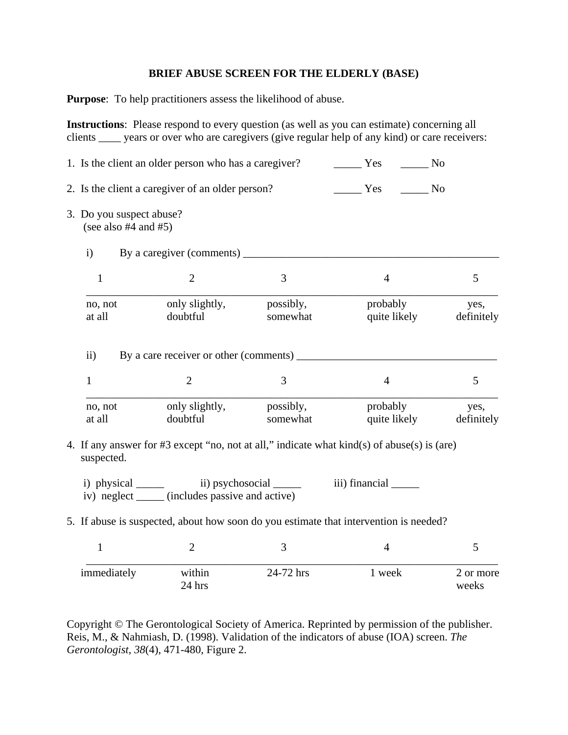### **BRIEF ABUSE SCREEN FOR THE ELDERLY (BASE)**

**Purpose**: To help practitioners assess the likelihood of abuse.

**Instructions**: Please respond to every question (as well as you can estimate) concerning all clients \_\_\_\_ years or over who are caregivers (give regular help of any kind) or care receivers:

|                                                       | 1. Is the client an older person who has a caregiver?                                                                                                                                                                                                                                                                                                                                                                                                                      |                       | Yes<br>N <sub>0</sub>                                                                                |                    |
|-------------------------------------------------------|----------------------------------------------------------------------------------------------------------------------------------------------------------------------------------------------------------------------------------------------------------------------------------------------------------------------------------------------------------------------------------------------------------------------------------------------------------------------------|-----------------------|------------------------------------------------------------------------------------------------------|--------------------|
|                                                       | 2. Is the client a caregiver of an older person?                                                                                                                                                                                                                                                                                                                                                                                                                           |                       | Yes<br>N <sub>o</sub>                                                                                |                    |
| 3. Do you suspect abuse?<br>(see also $#4$ and $#5$ ) |                                                                                                                                                                                                                                                                                                                                                                                                                                                                            |                       |                                                                                                      |                    |
| $\mathbf{i}$                                          |                                                                                                                                                                                                                                                                                                                                                                                                                                                                            |                       |                                                                                                      |                    |
| $\mathbf{1}$                                          | $\overline{2}$                                                                                                                                                                                                                                                                                                                                                                                                                                                             | 3                     | $\overline{4}$                                                                                       | 5                  |
| no, not<br>at all                                     | only slightly,<br>doubtful                                                                                                                                                                                                                                                                                                                                                                                                                                                 | possibly,<br>somewhat | probably<br>quite likely                                                                             | yes,<br>definitely |
| $\rm ii)$                                             | By a care receiver or other (comments) ________                                                                                                                                                                                                                                                                                                                                                                                                                            |                       |                                                                                                      |                    |
| $\mathbf{1}$                                          | $\overline{2}$                                                                                                                                                                                                                                                                                                                                                                                                                                                             | 3                     | $\overline{4}$                                                                                       | 5                  |
| no, not<br>at all                                     | only slightly,<br>doubtful                                                                                                                                                                                                                                                                                                                                                                                                                                                 | possibly,<br>somewhat | probably<br>quite likely                                                                             | yes,<br>definitely |
| suspected.                                            |                                                                                                                                                                                                                                                                                                                                                                                                                                                                            |                       | 4. If any answer for #3 except "no, not at all," indicate what $\text{kind}(s)$ of abuse(s) is (are) |                    |
|                                                       | i) physical $\frac{1}{\sqrt{1-\frac{1}{\sqrt{1-\frac{1}{\sqrt{1-\frac{1}{\sqrt{1-\frac{1}{\sqrt{1-\frac{1}{\sqrt{1-\frac{1}{\sqrt{1-\frac{1}{\sqrt{1-\frac{1}{\sqrt{1-\frac{1}{\sqrt{1-\frac{1}{\sqrt{1-\frac{1}{\sqrt{1-\frac{1}{\sqrt{1-\frac{1}{\sqrt{1-\frac{1}{\sqrt{1-\frac{1}{\sqrt{1-\frac{1}{\sqrt{1-\frac{1}{\sqrt{1-\frac{1}{\sqrt{1-\frac{1}{\sqrt{1-\frac{1}{\sqrt{1-\frac{1}{\sqrt{1-\frac{1}{\sqrt{1-\$<br>iv) neglect ______ (includes passive and active) |                       |                                                                                                      |                    |
|                                                       |                                                                                                                                                                                                                                                                                                                                                                                                                                                                            |                       | 5. If abuse is suspected, about how soon do you estimate that intervention is needed?                |                    |
| $\mathbf{1}$                                          | $\overline{2}$                                                                                                                                                                                                                                                                                                                                                                                                                                                             | 3                     | $\overline{4}$                                                                                       | 5                  |
| immediately                                           | within<br>24 hrs                                                                                                                                                                                                                                                                                                                                                                                                                                                           | 24-72 hrs             | 1 week                                                                                               | 2 or more<br>weeks |

Copyright © The Gerontological Society of America. Reprinted by permission of the publisher. Reis, M., & Nahmiash, D. (1998). Validation of the indicators of abuse (IOA) screen. *The Gerontologist, 38*(4), 471-480, Figure 2.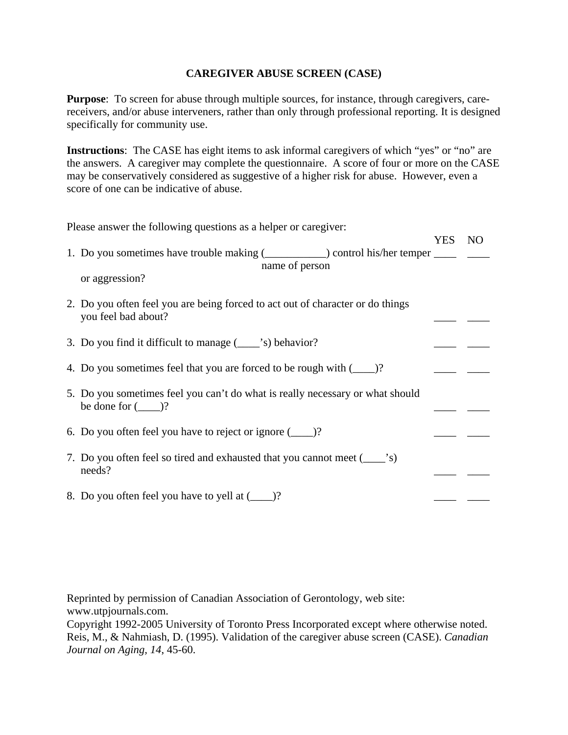# **CAREGIVER ABUSE SCREEN (CASE)**

**Purpose**: To screen for abuse through multiple sources, for instance, through caregivers, carereceivers, and/or abuse interveners, rather than only through professional reporting. It is designed specifically for community use.

**Instructions**: The CASE has eight items to ask informal caregivers of which "yes" or "no" are the answers. A caregiver may complete the questionnaire. A score of four or more on the CASE may be conservatively considered as suggestive of a higher risk for abuse. However, even a score of one can be indicative of abuse.

| Please answer the following questions as a helper or caregiver:                       |        |  |
|---------------------------------------------------------------------------------------|--------|--|
|                                                                                       | YES NO |  |
| 1. Do you sometimes have trouble making (_____________) control his/her temper ______ |        |  |
| name of person                                                                        |        |  |
| or aggression?                                                                        |        |  |
| 2. Do you often feel you are being forced to act out of character or do things        |        |  |
| you feel bad about?                                                                   |        |  |
| 3. Do you find it difficult to manage (______'s) behavior?                            |        |  |
|                                                                                       |        |  |
| 4. Do you sometimes feel that you are forced to be rough with (______)?               |        |  |
| 5. Do you sometimes feel you can't do what is really necessary or what should         |        |  |
| be done for $(\_\_)$ ?                                                                |        |  |
|                                                                                       |        |  |
| 6. Do you often feel you have to reject or ignore $(\_\_)$ ?                          |        |  |
| 7. Do you often feel so tired and exhausted that you cannot meet (_______________     |        |  |
| needs?                                                                                |        |  |
| 8. Do you often feel you have to yell at (_____)?                                     |        |  |
|                                                                                       |        |  |

Reprinted by permission of Canadian Association of Gerontology, web site: www.utpjournals.com.

Copyright 1992-2005 University of Toronto Press Incorporated except where otherwise noted. Reis, M., & Nahmiash, D. (1995). Validation of the caregiver abuse screen (CASE). *Canadian Journal on Aging, 14*, 45-60.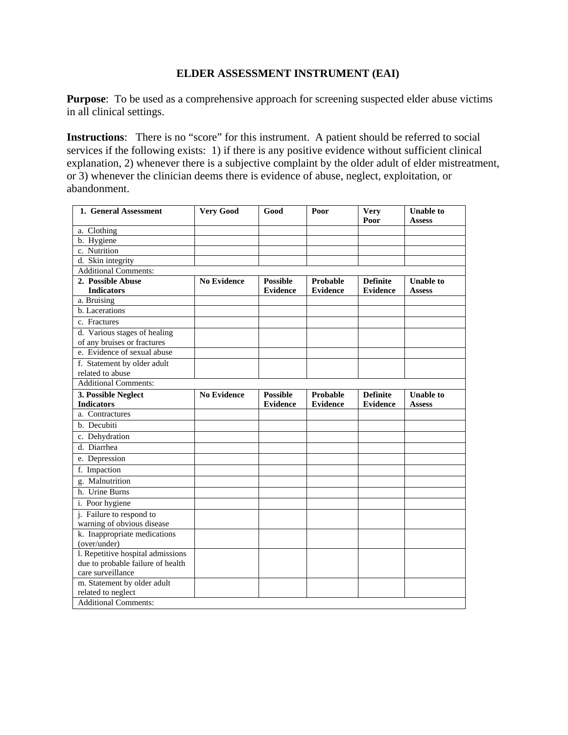### **ELDER ASSESSMENT INSTRUMENT (EAI)**

**Purpose:** To be used as a comprehensive approach for screening suspected elder abuse victims in all clinical settings.

**Instructions**: There is no "score" for this instrument. A patient should be referred to social services if the following exists: 1) if there is any positive evidence without sufficient clinical explanation, 2) whenever there is a subjective complaint by the older adult of elder mistreatment, or 3) whenever the clinician deems there is evidence of abuse, neglect, exploitation, or abandonment.

| 1. General Assessment             | <b>Very Good</b>   | Good            | Poor            | <b>Very</b><br>Poor | <b>Unable to</b><br><b>Assess</b> |
|-----------------------------------|--------------------|-----------------|-----------------|---------------------|-----------------------------------|
| a. Clothing                       |                    |                 |                 |                     |                                   |
| b. Hygiene                        |                    |                 |                 |                     |                                   |
| c. Nutrition                      |                    |                 |                 |                     |                                   |
| $\overline{d}$ . Skin integrity   |                    |                 |                 |                     |                                   |
| <b>Additional Comments:</b>       |                    |                 |                 |                     |                                   |
| 2. Possible Abuse                 | <b>No Evidence</b> | <b>Possible</b> | Probable        | <b>Definite</b>     | <b>Unable to</b>                  |
| <b>Indicators</b>                 |                    | <b>Evidence</b> | <b>Evidence</b> | <b>Evidence</b>     | <b>Assess</b>                     |
| a. Bruising                       |                    |                 |                 |                     |                                   |
| b. Lacerations                    |                    |                 |                 |                     |                                   |
| c. Fractures                      |                    |                 |                 |                     |                                   |
| d. Various stages of healing      |                    |                 |                 |                     |                                   |
| of any bruises or fractures       |                    |                 |                 |                     |                                   |
| e. Evidence of sexual abuse       |                    |                 |                 |                     |                                   |
| f. Statement by older adult       |                    |                 |                 |                     |                                   |
| related to abuse                  |                    |                 |                 |                     |                                   |
| <b>Additional Comments:</b>       |                    |                 |                 |                     |                                   |
| 3. Possible Neglect               | <b>No Evidence</b> | <b>Possible</b> | <b>Probable</b> | <b>Definite</b>     | <b>Unable to</b>                  |
| <b>Indicators</b>                 |                    | <b>Evidence</b> | <b>Evidence</b> | <b>Evidence</b>     | <b>Assess</b>                     |
| a. Contractures                   |                    |                 |                 |                     |                                   |
| b. Decubiti                       |                    |                 |                 |                     |                                   |
| c. Dehydration                    |                    |                 |                 |                     |                                   |
| d. Diarrhea                       |                    |                 |                 |                     |                                   |
| e. Depression                     |                    |                 |                 |                     |                                   |
| f. Impaction                      |                    |                 |                 |                     |                                   |
| g. Malnutrition                   |                    |                 |                 |                     |                                   |
| h. Urine Burns                    |                    |                 |                 |                     |                                   |
| i. Poor hygiene                   |                    |                 |                 |                     |                                   |
| j. Failure to respond to          |                    |                 |                 |                     |                                   |
| warning of obvious disease        |                    |                 |                 |                     |                                   |
| k. Inappropriate medications      |                    |                 |                 |                     |                                   |
| (over/under)                      |                    |                 |                 |                     |                                   |
| l. Repetitive hospital admissions |                    |                 |                 |                     |                                   |
| due to probable failure of health |                    |                 |                 |                     |                                   |
| care surveillance                 |                    |                 |                 |                     |                                   |
| m. Statement by older adult       |                    |                 |                 |                     |                                   |
| related to neglect                |                    |                 |                 |                     |                                   |
| <b>Additional Comments:</b>       |                    |                 |                 |                     |                                   |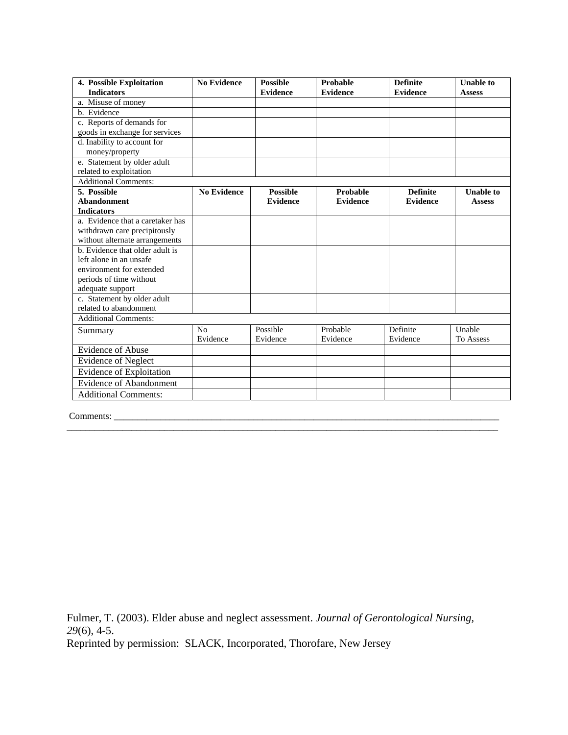| 4. Possible Exploitation         | <b>No Evidence</b> | <b>Possible</b> | Probable        | <b>Definite</b> | <b>Unable to</b> |
|----------------------------------|--------------------|-----------------|-----------------|-----------------|------------------|
| <b>Indicators</b>                |                    | <b>Evidence</b> | <b>Evidence</b> | <b>Evidence</b> | <b>Assess</b>    |
| a. Misuse of money               |                    |                 |                 |                 |                  |
| b. Evidence                      |                    |                 |                 |                 |                  |
| c. Reports of demands for        |                    |                 |                 |                 |                  |
| goods in exchange for services   |                    |                 |                 |                 |                  |
| d. Inability to account for      |                    |                 |                 |                 |                  |
| money/property                   |                    |                 |                 |                 |                  |
| e. Statement by older adult      |                    |                 |                 |                 |                  |
| related to exploitation          |                    |                 |                 |                 |                  |
| <b>Additional Comments:</b>      |                    |                 |                 |                 |                  |
| 5. Possible                      | <b>No Evidence</b> | <b>Possible</b> | Probable        | <b>Definite</b> | <b>Unable to</b> |
| <b>Abandonment</b>               |                    | <b>Evidence</b> | <b>Evidence</b> | <b>Evidence</b> | <b>Assess</b>    |
| <b>Indicators</b>                |                    |                 |                 |                 |                  |
| a. Evidence that a caretaker has |                    |                 |                 |                 |                  |
| withdrawn care precipitously     |                    |                 |                 |                 |                  |
| without alternate arrangements   |                    |                 |                 |                 |                  |
| b. Evidence that older adult is  |                    |                 |                 |                 |                  |
| left alone in an unsafe          |                    |                 |                 |                 |                  |
| environment for extended         |                    |                 |                 |                 |                  |
| periods of time without          |                    |                 |                 |                 |                  |
| adequate support                 |                    |                 |                 |                 |                  |
| c. Statement by older adult      |                    |                 |                 |                 |                  |
| related to abandonment           |                    |                 |                 |                 |                  |
| <b>Additional Comments:</b>      |                    |                 |                 |                 |                  |
| Summary                          | No                 | Possible        | Probable        | Definite        | Unable           |
|                                  | Evidence           | Evidence        | Evidence        | Evidence        | To Assess        |
| <b>Evidence of Abuse</b>         |                    |                 |                 |                 |                  |
| <b>Evidence of Neglect</b>       |                    |                 |                 |                 |                  |
| Evidence of Exploitation         |                    |                 |                 |                 |                  |
| <b>Evidence of Abandonment</b>   |                    |                 |                 |                 |                  |
| <b>Additional Comments:</b>      |                    |                 |                 |                 |                  |

Comments: \_\_\_\_\_\_\_\_\_\_\_\_\_\_\_\_\_\_\_\_\_\_\_\_\_\_\_\_\_\_\_\_\_\_\_\_\_\_\_\_\_\_\_\_\_\_\_\_\_\_\_\_\_\_\_\_\_\_\_\_\_\_\_\_\_\_\_\_\_\_\_\_\_\_\_\_\_\_\_\_\_\_\_

Fulmer, T. (2003). Elder abuse and neglect assessment. *Journal of Gerontological Nursing, 29*(6), 4-5.

Reprinted by permission: SLACK, Incorporated, Thorofare, New Jersey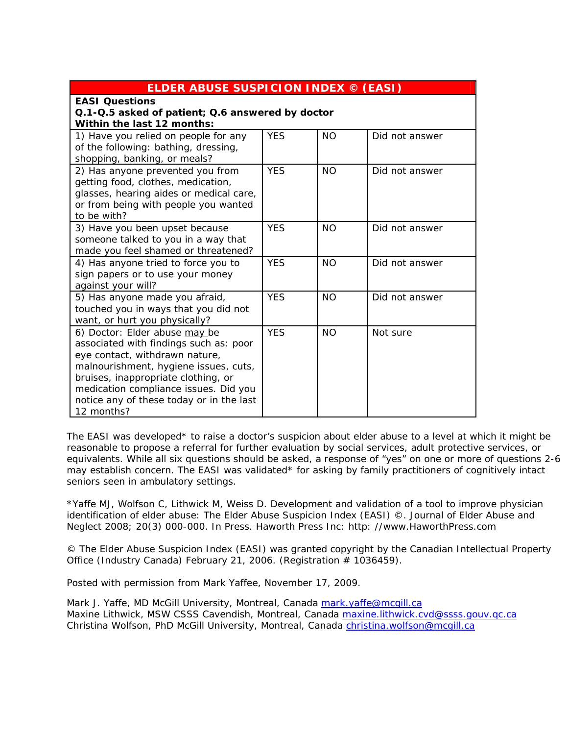| <b>ELDER ABUSE SUSPICION INDEX © (EASI)</b>                                                                                                                                                                                                                                                  |            |           |                |  |  |  |  |
|----------------------------------------------------------------------------------------------------------------------------------------------------------------------------------------------------------------------------------------------------------------------------------------------|------------|-----------|----------------|--|--|--|--|
| <b>EASI Questions</b><br>Q.1-Q.5 asked of patient; Q.6 answered by doctor<br>Within the last 12 months:                                                                                                                                                                                      |            |           |                |  |  |  |  |
| 1) Have you relied on people for any<br>of the following: bathing, dressing,<br>shopping, banking, or meals?                                                                                                                                                                                 | <b>YFS</b> | <b>NO</b> | Did not answer |  |  |  |  |
| 2) Has anyone prevented you from<br>getting food, clothes, medication,<br>glasses, hearing aides or medical care,<br>or from being with people you wanted<br>to be with?                                                                                                                     | <b>YFS</b> | <b>NO</b> | Did not answer |  |  |  |  |
| 3) Have you been upset because<br>someone talked to you in a way that<br>made you feel shamed or threatened?                                                                                                                                                                                 | <b>YES</b> | <b>NO</b> | Did not answer |  |  |  |  |
| 4) Has anyone tried to force you to<br>sign papers or to use your money<br>against your will?                                                                                                                                                                                                | <b>YES</b> | <b>NO</b> | Did not answer |  |  |  |  |
| 5) Has anyone made you afraid,<br>touched you in ways that you did not<br>want, or hurt you physically?                                                                                                                                                                                      | <b>YES</b> | <b>NO</b> | Did not answer |  |  |  |  |
| 6) Doctor: Elder abuse may be<br>associated with findings such as: poor<br>eye contact, withdrawn nature,<br>malnourishment, hygiene issues, cuts,<br>bruises, inappropriate clothing, or<br>medication compliance issues. Did you<br>notice any of these today or in the last<br>12 months? | <b>YES</b> | <b>NO</b> | Not sure       |  |  |  |  |

The EASI was developed\* to raise a doctor's suspicion about elder abuse to a level at which it might be reasonable to propose a referral for further evaluation by social services, adult protective services, or equivalents. While all six questions should be asked, a response of "yes" on one or more of questions 2-6 may establish concern. The EASI was validated\* for asking by family practitioners of cognitively intact seniors seen in ambulatory settings.

\*Yaffe MJ, Wolfson C, Lithwick M, Weiss D. Development and validation of a tool to improve physician identification of elder abuse: The Elder Abuse Suspicion Index (EASI) ©. Journal of Elder Abuse and Neglect 2008; 20(3) 000-000. In Press. Haworth Press Inc: http: //www.HaworthPress.com

© The Elder Abuse Suspicion Index (EASI) was granted copyright by the Canadian Intellectual Property Office (Industry Canada) February 21, 2006. (Registration # 1036459).

Posted with permission from Mark Yaffee, November 17, 2009.

Mark J. Yaffe, MD McGill University, Montreal, Canada mark.yaffe@mcgill.ca Maxine Lithwick, MSW CSSS Cavendish, Montreal, Canada maxine.lithwick.cvd@ssss.gouv.gc.ca Christina Wolfson, PhD McGill University, Montreal, Canada christina.wolfson@mcgill.ca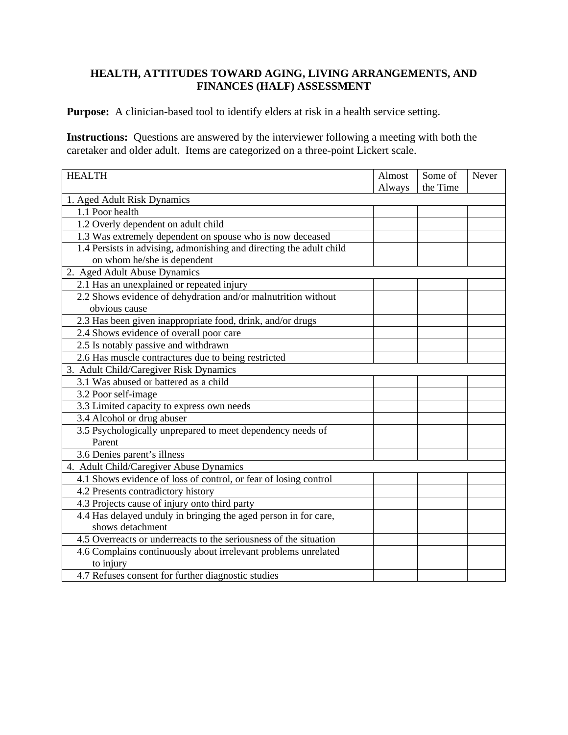# **HEALTH, ATTITUDES TOWARD AGING, LIVING ARRANGEMENTS, AND FINANCES (HALF) ASSESSMENT**

**Purpose:** A clinician-based tool to identify elders at risk in a health service setting.

**Instructions:** Questions are answered by the interviewer following a meeting with both the caretaker and older adult. Items are categorized on a three-point Lickert scale.

| <b>HEALTH</b>                                                       | Almost | Some of  | Never |
|---------------------------------------------------------------------|--------|----------|-------|
|                                                                     | Always | the Time |       |
| 1. Aged Adult Risk Dynamics                                         |        |          |       |
| 1.1 Poor health                                                     |        |          |       |
| 1.2 Overly dependent on adult child                                 |        |          |       |
| 1.3 Was extremely dependent on spouse who is now deceased           |        |          |       |
| 1.4 Persists in advising, admonishing and directing the adult child |        |          |       |
| on whom he/she is dependent                                         |        |          |       |
| 2. Aged Adult Abuse Dynamics                                        |        |          |       |
| 2.1 Has an unexplained or repeated injury                           |        |          |       |
| 2.2 Shows evidence of dehydration and/or malnutrition without       |        |          |       |
| obvious cause                                                       |        |          |       |
| 2.3 Has been given inappropriate food, drink, and/or drugs          |        |          |       |
| 2.4 Shows evidence of overall poor care                             |        |          |       |
| 2.5 Is notably passive and withdrawn                                |        |          |       |
| 2.6 Has muscle contractures due to being restricted                 |        |          |       |
| 3. Adult Child/Caregiver Risk Dynamics                              |        |          |       |
| 3.1 Was abused or battered as a child                               |        |          |       |
| 3.2 Poor self-image                                                 |        |          |       |
| 3.3 Limited capacity to express own needs                           |        |          |       |
| 3.4 Alcohol or drug abuser                                          |        |          |       |
| 3.5 Psychologically unprepared to meet dependency needs of          |        |          |       |
| Parent                                                              |        |          |       |
| 3.6 Denies parent's illness                                         |        |          |       |
| 4. Adult Child/Caregiver Abuse Dynamics                             |        |          |       |
| 4.1 Shows evidence of loss of control, or fear of losing control    |        |          |       |
| 4.2 Presents contradictory history                                  |        |          |       |
| 4.3 Projects cause of injury onto third party                       |        |          |       |
| 4.4 Has delayed unduly in bringing the aged person in for care,     |        |          |       |
| shows detachment                                                    |        |          |       |
| 4.5 Overreacts or underreacts to the seriousness of the situation   |        |          |       |
| 4.6 Complains continuously about irrelevant problems unrelated      |        |          |       |
| to injury                                                           |        |          |       |
| 4.7 Refuses consent for further diagnostic studies                  |        |          |       |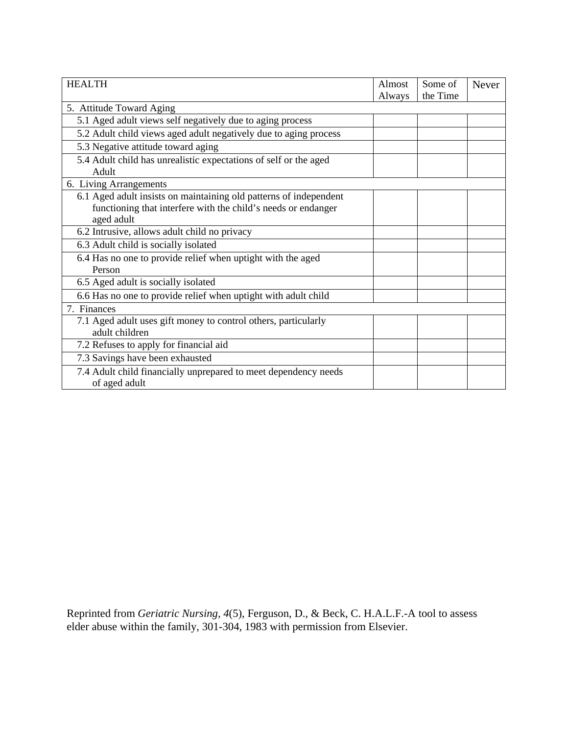| <b>HEALTH</b>                                                             | Almost | Some of  | Never |
|---------------------------------------------------------------------------|--------|----------|-------|
|                                                                           | Always | the Time |       |
| 5. Attitude Toward Aging                                                  |        |          |       |
| 5.1 Aged adult views self negatively due to aging process                 |        |          |       |
| 5.2 Adult child views aged adult negatively due to aging process          |        |          |       |
| 5.3 Negative attitude toward aging                                        |        |          |       |
| 5.4 Adult child has unrealistic expectations of self or the aged<br>Adult |        |          |       |
| 6. Living Arrangements                                                    |        |          |       |
| 6.1 Aged adult insists on maintaining old patterns of independent         |        |          |       |
| functioning that interfere with the child's needs or endanger             |        |          |       |
| aged adult                                                                |        |          |       |
| 6.2 Intrusive, allows adult child no privacy                              |        |          |       |
| 6.3 Adult child is socially isolated                                      |        |          |       |
| 6.4 Has no one to provide relief when uptight with the aged               |        |          |       |
| Person                                                                    |        |          |       |
| 6.5 Aged adult is socially isolated                                       |        |          |       |
| 6.6 Has no one to provide relief when uptight with adult child            |        |          |       |
| 7. Finances                                                               |        |          |       |
| 7.1 Aged adult uses gift money to control others, particularly            |        |          |       |
| adult children                                                            |        |          |       |
| 7.2 Refuses to apply for financial aid                                    |        |          |       |
| 7.3 Savings have been exhausted                                           |        |          |       |
| 7.4 Adult child financially unprepared to meet dependency needs           |        |          |       |
| of aged adult                                                             |        |          |       |

Reprinted from *Geriatric Nursing, 4*(5), Ferguson, D., & Beck, C. H.A.L.F.-A tool to assess elder abuse within the family, 301-304, 1983 with permission from Elsevier.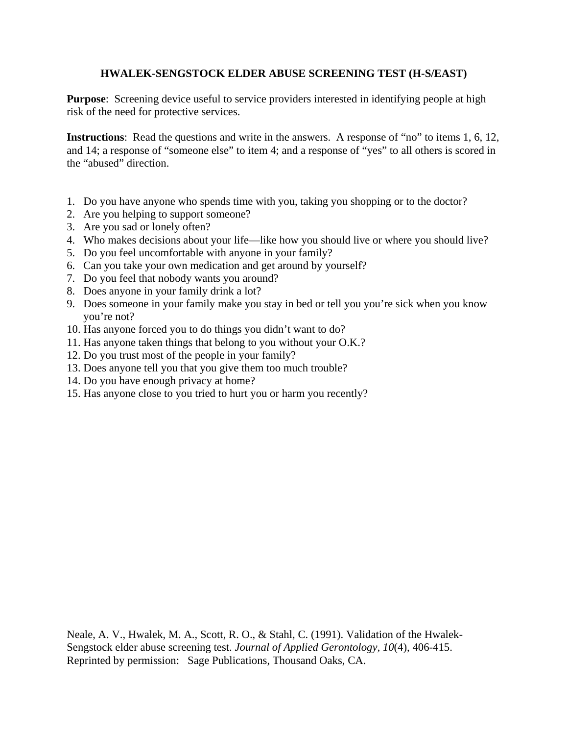# **HWALEK-SENGSTOCK ELDER ABUSE SCREENING TEST (H-S/EAST)**

**Purpose**: Screening device useful to service providers interested in identifying people at high risk of the need for protective services.

**Instructions**: Read the questions and write in the answers. A response of "no" to items 1, 6, 12, and 14; a response of "someone else" to item 4; and a response of "yes" to all others is scored in the "abused" direction.

- 1. Do you have anyone who spends time with you, taking you shopping or to the doctor?
- 2. Are you helping to support someone?
- 3. Are you sad or lonely often?
- 4. Who makes decisions about your life—like how you should live or where you should live?
- 5. Do you feel uncomfortable with anyone in your family?
- 6. Can you take your own medication and get around by yourself?
- 7. Do you feel that nobody wants you around?
- 8. Does anyone in your family drink a lot?
- 9. Does someone in your family make you stay in bed or tell you you're sick when you know you're not?
- 10. Has anyone forced you to do things you didn't want to do?
- 11. Has anyone taken things that belong to you without your O.K.?
- 12. Do you trust most of the people in your family?
- 13. Does anyone tell you that you give them too much trouble?
- 14. Do you have enough privacy at home?
- 15. Has anyone close to you tried to hurt you or harm you recently?

Neale, A. V., Hwalek, M. A., Scott, R. O., & Stahl, C. (1991). Validation of the Hwalek-Sengstock elder abuse screening test. *Journal of Applied Gerontology, 10*(4), 406-415. Reprinted by permission: Sage Publications, Thousand Oaks, CA.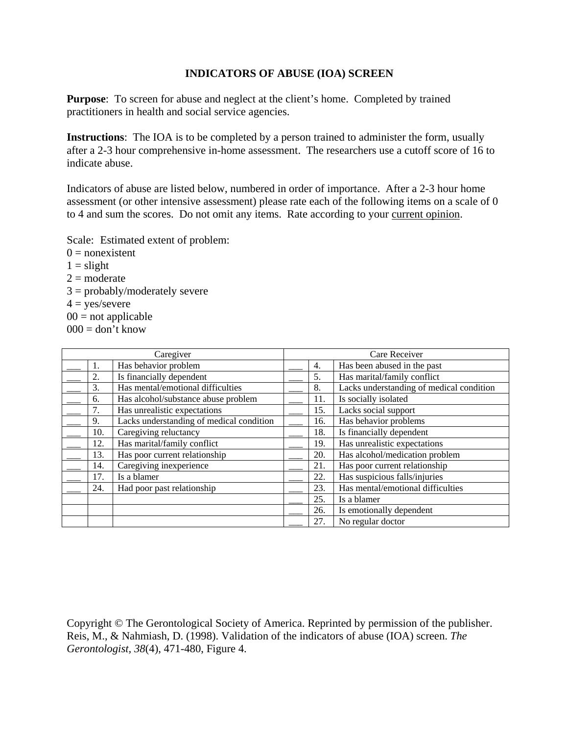## **INDICATORS OF ABUSE (IOA) SCREEN**

**Purpose:** To screen for abuse and neglect at the client's home. Completed by trained practitioners in health and social service agencies.

**Instructions**: The IOA is to be completed by a person trained to administer the form, usually after a 2-3 hour comprehensive in-home assessment. The researchers use a cutoff score of 16 to indicate abuse.

Indicators of abuse are listed below, numbered in order of importance. After a 2-3 hour home assessment (or other intensive assessment) please rate each of the following items on a scale of 0 to 4 and sum the scores. Do not omit any items. Rate according to your current opinion.

Scale: Estimated extent of problem:

 $0 = nonexistence$  $1 =$ slight  $2 =$ moderate  $3 = \text{probability/moderately severe}$  $4 = \text{yes/severe}$  $00 =$  not applicable  $000 =$  don't know

|     | Caregiver                                |     | Care Receiver                            |
|-----|------------------------------------------|-----|------------------------------------------|
|     | Has behavior problem                     | 4.  | Has been abused in the past              |
| 2.  | Is financially dependent                 | 5.  | Has marital/family conflict              |
| 3.  | Has mental/emotional difficulties        | 8.  | Lacks understanding of medical condition |
| 6.  | Has alcohol/substance abuse problem      | 11. | Is socially isolated                     |
| 7.  | Has unrealistic expectations             | 15. | Lacks social support                     |
| 9.  | Lacks understanding of medical condition | 16. | Has behavior problems                    |
| 10. | Caregiving reluctancy                    | 18. | Is financially dependent                 |
| 12. | Has marital/family conflict              | 19. | Has unrealistic expectations             |
| 13. | Has poor current relationship            | 20. | Has alcohol/medication problem           |
| 14. | Caregiving inexperience                  | 21. | Has poor current relationship            |
| 17. | Is a blamer                              | 22. | Has suspicious falls/injuries            |
| 24. | Had poor past relationship               | 23. | Has mental/emotional difficulties        |
|     |                                          | 25. | Is a blamer                              |
|     |                                          | 26. | Is emotionally dependent                 |
|     |                                          | 27. | No regular doctor                        |

Copyright © The Gerontological Society of America. Reprinted by permission of the publisher. Reis, M., & Nahmiash, D. (1998). Validation of the indicators of abuse (IOA) screen. *The Gerontologist, 38*(4), 471-480, Figure 4.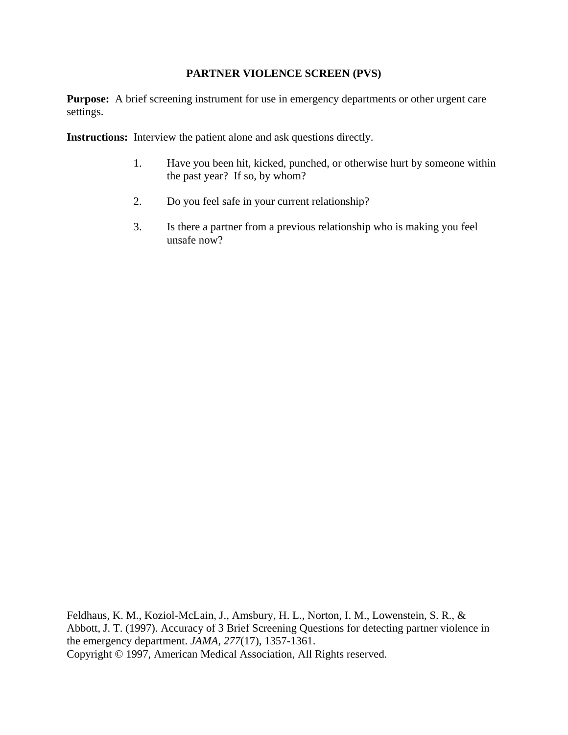## **PARTNER VIOLENCE SCREEN (PVS)**

**Purpose:** A brief screening instrument for use in emergency departments or other urgent care settings.

**Instructions:** Interview the patient alone and ask questions directly.

- 1. Have you been hit, kicked, punched, or otherwise hurt by someone within the past year? If so, by whom?
- 2. Do you feel safe in your current relationship?
- 3. Is there a partner from a previous relationship who is making you feel unsafe now?

Feldhaus, K. M., Koziol-McLain, J., Amsbury, H. L., Norton, I. M., Lowenstein, S. R., & Abbott, J. T. (1997). Accuracy of 3 Brief Screening Questions for detecting partner violence in the emergency department. *JAMA, 277*(17), 1357-1361. Copyright © 1997, American Medical Association, All Rights reserved.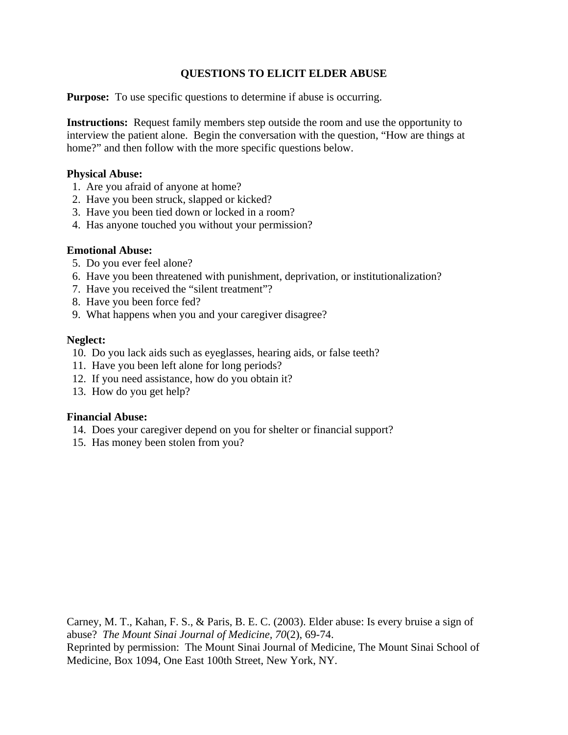# **QUESTIONS TO ELICIT ELDER ABUSE**

**Purpose:** To use specific questions to determine if abuse is occurring.

**Instructions:** Request family members step outside the room and use the opportunity to interview the patient alone. Begin the conversation with the question, "How are things at home?" and then follow with the more specific questions below.

## **Physical Abuse:**

- 1. Are you afraid of anyone at home?
- 2. Have you been struck, slapped or kicked?
- 3. Have you been tied down or locked in a room?
- 4. Has anyone touched you without your permission?

## **Emotional Abuse:**

- 5. Do you ever feel alone?
- 6. Have you been threatened with punishment, deprivation, or institutionalization?
- 7. Have you received the "silent treatment"?
- 8. Have you been force fed?
- 9. What happens when you and your caregiver disagree?

### **Neglect:**

- 10. Do you lack aids such as eyeglasses, hearing aids, or false teeth?
- 11. Have you been left alone for long periods?
- 12. If you need assistance, how do you obtain it?
- 13. How do you get help?

### **Financial Abuse:**

- 14. Does your caregiver depend on you for shelter or financial support?
- 15. Has money been stolen from you?

Carney, M. T., Kahan, F. S., & Paris, B. E. C. (2003). Elder abuse: Is every bruise a sign of abuse? *The Mount Sinai Journal of Medicine, 70*(2), 69-74. Reprinted by permission: The Mount Sinai Journal of Medicine, The Mount Sinai School of Medicine, Box 1094, One East 100th Street, New York, NY.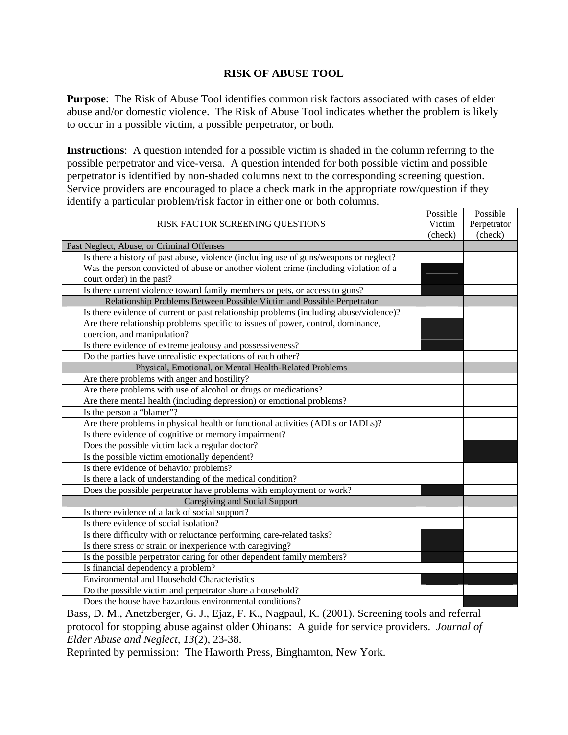## **RISK OF ABUSE TOOL**

**Purpose**: The Risk of Abuse Tool identifies common risk factors associated with cases of elder abuse and/or domestic violence. The Risk of Abuse Tool indicates whether the problem is likely to occur in a possible victim, a possible perpetrator, or both.

**Instructions**: A question intended for a possible victim is shaded in the column referring to the possible perpetrator and vice-versa. A question intended for both possible victim and possible perpetrator is identified by non-shaded columns next to the corresponding screening question. Service providers are encouraged to place a check mark in the appropriate row/question if they identify a particular problem/risk factor in either one or both columns. Possible

|                                                                                        | Possible | Possible    |
|----------------------------------------------------------------------------------------|----------|-------------|
| RISK FACTOR SCREENING QUESTIONS                                                        | Victim   | Perpetrator |
|                                                                                        | (check)  | (check)     |
| Past Neglect, Abuse, or Criminal Offenses                                              |          |             |
| Is there a history of past abuse, violence (including use of guns/weapons or neglect?  |          |             |
| Was the person convicted of abuse or another violent crime (including violation of a   |          |             |
| court order) in the past?                                                              |          |             |
| Is there current violence toward family members or pets, or access to guns?            |          |             |
| Relationship Problems Between Possible Victim and Possible Perpetrator                 |          |             |
| Is there evidence of current or past relationship problems (including abuse/violence)? |          |             |
| Are there relationship problems specific to issues of power, control, dominance,       |          |             |
| coercion, and manipulation?                                                            |          |             |
| Is there evidence of extreme jealousy and possessiveness?                              |          |             |
| Do the parties have unrealistic expectations of each other?                            |          |             |
| Physical, Emotional, or Mental Health-Related Problems                                 |          |             |
| Are there problems with anger and hostility?                                           |          |             |
| Are there problems with use of alcohol or drugs or medications?                        |          |             |
| Are there mental health (including depression) or emotional problems?                  |          |             |
| Is the person a "blamer"?                                                              |          |             |
| Are there problems in physical health or functional activities (ADLs or IADLs)?        |          |             |
| Is there evidence of cognitive or memory impairment?                                   |          |             |
| Does the possible victim lack a regular doctor?                                        |          |             |
| Is the possible victim emotionally dependent?                                          |          |             |
| Is there evidence of behavior problems?                                                |          |             |
| Is there a lack of understanding of the medical condition?                             |          |             |
| Does the possible perpetrator have problems with employment or work?                   |          |             |
| Caregiving and Social Support                                                          |          |             |
| Is there evidence of a lack of social support?                                         |          |             |
| Is there evidence of social isolation?                                                 |          |             |
| Is there difficulty with or reluctance performing care-related tasks?                  |          |             |
| Is there stress or strain or inexperience with caregiving?                             |          |             |
| Is the possible perpetrator caring for other dependent family members?                 |          |             |
| Is financial dependency a problem?                                                     |          |             |
| <b>Environmental and Household Characteristics</b>                                     |          |             |
| Do the possible victim and perpetrator share a household?                              |          |             |
| Does the house have hazardous environmental conditions?                                |          |             |

Bass, D. M., Anetzberger, G. J., Ejaz, F. K., Nagpaul, K. (2001). Screening tools and referral protocol for stopping abuse against older Ohioans: A guide for service providers. *Journal of Elder Abuse and Neglect, 13*(2), 23-38.

Reprinted by permission: The Haworth Press, Binghamton, New York.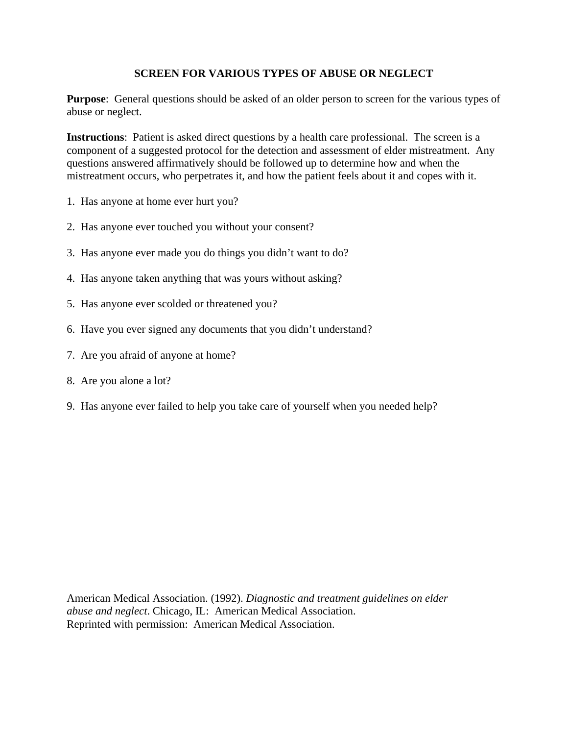## **SCREEN FOR VARIOUS TYPES OF ABUSE OR NEGLECT**

**Purpose**: General questions should be asked of an older person to screen for the various types of abuse or neglect.

**Instructions**: Patient is asked direct questions by a health care professional. The screen is a component of a suggested protocol for the detection and assessment of elder mistreatment. Any questions answered affirmatively should be followed up to determine how and when the mistreatment occurs, who perpetrates it, and how the patient feels about it and copes with it.

- 1. Has anyone at home ever hurt you?
- 2. Has anyone ever touched you without your consent?
- 3. Has anyone ever made you do things you didn't want to do?
- 4. Has anyone taken anything that was yours without asking?
- 5. Has anyone ever scolded or threatened you?
- 6. Have you ever signed any documents that you didn't understand?
- 7. Are you afraid of anyone at home?
- 8. Are you alone a lot?
- 9. Has anyone ever failed to help you take care of yourself when you needed help?

American Medical Association. (1992). *Diagnostic and treatment guidelines on elder abuse and neglect*. Chicago, IL: American Medical Association. Reprinted with permission: American Medical Association.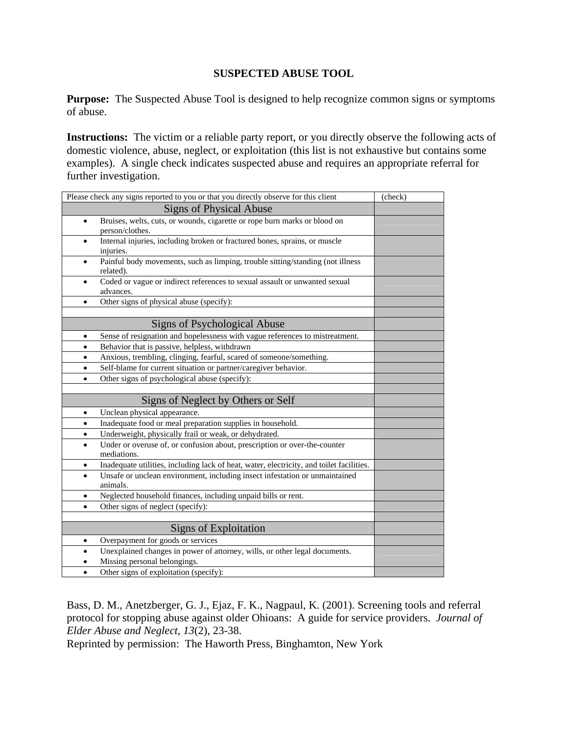## **SUSPECTED ABUSE TOOL**

**Purpose:** The Suspected Abuse Tool is designed to help recognize common signs or symptoms of abuse.

**Instructions:** The victim or a reliable party report, or you directly observe the following acts of domestic violence, abuse, neglect, or exploitation (this list is not exhaustive but contains some examples). A single check indicates suspected abuse and requires an appropriate referral for further investigation.

| Please check any signs reported to you or that you directly observe for this client                       | (check) |
|-----------------------------------------------------------------------------------------------------------|---------|
| <b>Signs of Physical Abuse</b>                                                                            |         |
| Bruises, welts, cuts, or wounds, cigarette or rope burn marks or blood on<br>$\bullet$<br>person/clothes. |         |
| Internal injuries, including broken or fractured bones, sprains, or muscle<br>$\bullet$<br>injuries.      |         |
| Painful body movements, such as limping, trouble sitting/standing (not illness<br>related).               |         |
| Coded or vague or indirect references to sexual assault or unwanted sexual<br>advances.                   |         |
| Other signs of physical abuse (specify):<br>$\bullet$                                                     |         |
|                                                                                                           |         |
| Signs of Psychological Abuse                                                                              |         |
| Sense of resignation and hopelessness with vague references to mistreatment.<br>$\bullet$                 |         |
| Behavior that is passive, helpless, withdrawn<br>$\bullet$                                                |         |
| Anxious, trembling, clinging, fearful, scared of someone/something.                                       |         |
| Self-blame for current situation or partner/caregiver behavior.                                           |         |
| Other signs of psychological abuse (specify):<br>$\bullet$                                                |         |
|                                                                                                           |         |
| Signs of Neglect by Others or Self                                                                        |         |
| Unclean physical appearance.<br>$\bullet$                                                                 |         |
| Inadequate food or meal preparation supplies in household.<br>$\bullet$                                   |         |
| Underweight, physically frail or weak, or dehydrated.<br>٠                                                |         |
| Under or overuse of, or confusion about, prescription or over-the-counter<br>mediations.                  |         |
| Inadequate utilities, including lack of heat, water, electricity, and toilet facilities.<br>$\bullet$     |         |
| Unsafe or unclean environment, including insect infestation or unmaintained<br>animals.                   |         |
| Neglected household finances, including unpaid bills or rent.<br>٠                                        |         |
| Other signs of neglect (specify):<br>$\bullet$                                                            |         |
|                                                                                                           |         |
| Signs of Exploitation                                                                                     |         |
| Overpayment for goods or services<br>$\bullet$                                                            |         |
| Unexplained changes in power of attorney, wills, or other legal documents.<br>$\bullet$                   |         |
| Missing personal belongings.                                                                              |         |
| Other signs of exploitation (specify):<br>$\bullet$                                                       |         |

Bass, D. M., Anetzberger, G. J., Ejaz, F. K., Nagpaul, K. (2001). Screening tools and referral protocol for stopping abuse against older Ohioans: A guide for service providers. *Journal of Elder Abuse and Neglect, 13*(2), 23-38.

Reprinted by permission: The Haworth Press, Binghamton, New York